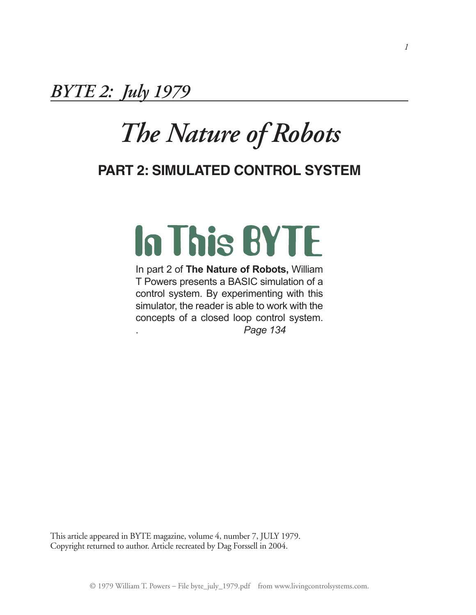*BYTE 2: July 1979*

## *The Nature of Robots*

### **Part 2: Simulated control system**

# **In This BYTE**

In part 2 of **The Nature of Robots,** William T Powers presents a BASIC simulation of a control system. By experimenting with this simulator, the reader is able to work with the concepts of a closed loop control system. . *Page 134*

This article appeared in BYTE magazine, volume 4, number 7, JULY 1979. Copyright returned to author. Article recreated by Dag Forssell in 2004.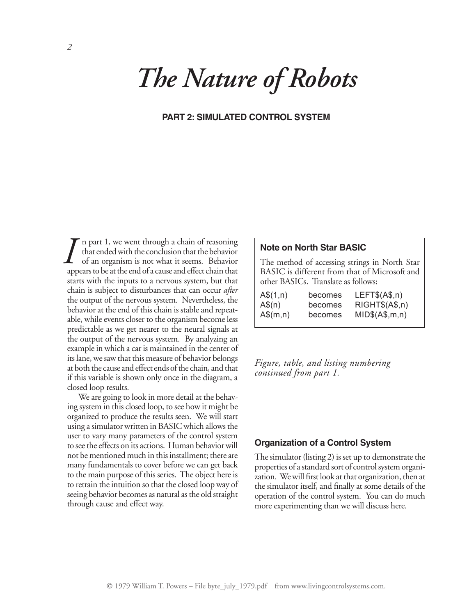## *The Nature of Robots*

#### **Part 2: Simulated Control System**

n part 1, we went through a chain of reasoning that ended with the conclusion that the behavior of an organism is not what it seems. Behavior appears to be at the end of a cause and effect chain that starts with the inputs to a nervous system, but that chain is subject to disturbances that can occur *after* the output of the nervous system. Nevertheless, the behavior at the end of this chain is stable and repeatable, while events closer to the organism become less predictable as we get nearer to the neural signals at the output of the nervous system. By analyzing an example in which a car is maintained in the center of its lane, we saw that this measure of behavior belongs at both the cause and effect ends of the chain, and that if this variable is shown only once in the diagram, a closed loop results. *I* n part 1, we went through a chain of reasoning<br>that ended with the conclusion that the behavior<br>of an organism is not what it seems. Behavior<br>appears to be at the end of a cause and effect chain that

We are going to look in more detail at the behaving system in this closed loop, to see how it might be organized to produce the results seen. We will start using a simulator written in BASIC which allows the user to vary many parameters of the control system to see the effects on its actions. Human behavior will not be mentioned much in this installment; there are many fundamentals to cover before we can get back to the main purpose of this series. The object here is to retrain the intuition so that the closed loop way of seeing behavior becomes as natural as the old straight through cause and effect way.

The method of accessing strings in North Star BASIC is different from that of Microsoft and other BASICs. Translate as follows:

| $A\$(1,n)$ | becomes | LEFT\$(A\$, n)  |
|------------|---------|-----------------|
| $A\$(n)$   | becomes | RIGHT\$(A\$, n) |
| $A\$(m,n)$ | becomes | MID\$(A\$, m,n) |

*Figure, table, and listing numbering continued from part 1.*

#### **Organization of a Control System**

The simulator (listing 2) is set up to demonstrate the properties of a standard sort of control system organization. We will first look at that organization, then at the simulator itself, and finally at some details of the operation of the control system. You can do much more experimenting than we will discuss here.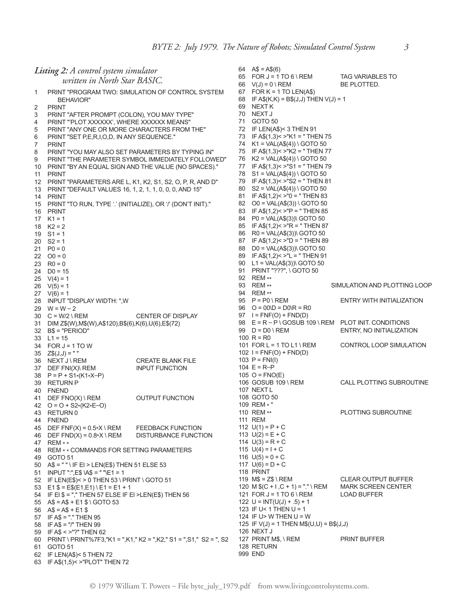| Listing 2: A control system simulator |                                                                                                          | 64 $AS = AS(6)$                                                       |                                                                    |                              |
|---------------------------------------|----------------------------------------------------------------------------------------------------------|-----------------------------------------------------------------------|--------------------------------------------------------------------|------------------------------|
|                                       | written in North Star BASIC.                                                                             |                                                                       | 65 FOR J = 1 TO 6 \ REM                                            | <b>TAG VARIABLES TO</b>      |
| 1                                     | PRINT "PROGRAM TWO: SIMULATION OF CONTROL SYSTEM                                                         |                                                                       | 66 $V(J) = 0 \setminus REM$<br>67 FOR $K = 1$ TO LEN(A\$)          | BE PLOTTED.                  |
|                                       | BEHAVIOR"                                                                                                |                                                                       | 68 IF A\$(K,K) = B\$(J,J) THEN $V(J) = 1$                          |                              |
| 2                                     | <b>PRINT</b>                                                                                             |                                                                       | 69 NEXT K                                                          |                              |
| 3                                     | PRINT "AFTER PROMPT (COLON), YOU MAY TYPE"                                                               |                                                                       | 70 NEXT J                                                          |                              |
| 4                                     | PRINT "'PLOT XXXXXX', WHERE XXXXXX MEANS"                                                                |                                                                       | 71 GOTO 50                                                         |                              |
| 5                                     | PRINT "ANY ONE OR MORE CHARACTERS FROM THE"                                                              |                                                                       | 72 IF LEN(A\$)< 3 THEN 91                                          |                              |
| 6                                     | PRINT "SET P,E,R,I,O,D, IN ANY SEQUENCE."                                                                |                                                                       | 73 IF A\$(1,3)< >"K1 = "THEN 75                                    |                              |
| 7                                     | <b>PRINT</b>                                                                                             |                                                                       | 74 $K1 = VAL(AS(4))$ GOTO 50<br>75 IF A\$(1,3)< $>$ "K2 = "THEN 77 |                              |
| 8<br>9                                | PRINT "YOU MAY ALSO SET PARAMETERS BY TYPING IN"                                                         |                                                                       | 76 $K2 = VAL(AS(4))$ GOTO 50                                       |                              |
| 10                                    | PRINT "THE PARAMETER SYMBOL IMMEDIATELY FOLLOWED"<br>PRINT "BY AN EQUAL SIGN AND THE VALUE (NO SPACES)." |                                                                       | 77 IF A\$(1,3)< $>$ "S1 = "THEN 79                                 |                              |
| 11                                    | PRINT                                                                                                    |                                                                       | 78 $S1 = VAL(AS(4)) \setminus GOTO 50$                             |                              |
|                                       | 12 PRINT "PARAMETERS ARE L, K1, K2, S1, S2, O, P, R, AND D"                                              |                                                                       | 79 IF A\$(1,3)< $>$ "S2 = "THEN 81                                 |                              |
|                                       | 13 PRINT "DEFAULT VALUES 16, 1, 2, 1, 1, 0, 0, 0, AND 15"                                                |                                                                       | 80 $S2 = VAL(AS(4))$ GOTO 50                                       |                              |
|                                       | 14 PRINT                                                                                                 |                                                                       | 81 IF A\$(1,2)< $>$ "0 = "THEN 83                                  |                              |
|                                       | 15 PRINT "TO RUN, TYPE '.' (INITIALIZE), OR '/' (DON'T INIT)."                                           |                                                                       | 82 $\text{OO} = \text{VAL}(A\$(3)) \setminus \text{GOTO}$ 50       |                              |
|                                       | 16 PRINT<br>17 $K1 = 1$                                                                                  |                                                                       | 83 IF A\$(1,2)< >"P = "THEN 85<br>84 P0 = VAL(A\$(3))\ GOTO 50     |                              |
|                                       | 18 $K2 = 2$                                                                                              |                                                                       | 85 IF A\$(1,2)< >"R = " THEN 87                                    |                              |
|                                       | $19$ S1 = 1                                                                                              |                                                                       | 86 R0 = VAL(A\$(3))\ GOTO 50                                       |                              |
|                                       | $20$ S2 = 1                                                                                              |                                                                       | 87 IF A\$(1,2)< >"D = " THEN 89                                    |                              |
|                                       | 21 $P0 = 0$                                                                                              |                                                                       | 88 D0 = VAL(A\$(3))\ GOTO 50                                       |                              |
|                                       | $22 \t 00 = 0$                                                                                           |                                                                       | 89 IF A\$(1,2) < $>$ "L = "THEN 91                                 |                              |
|                                       | 23 $R0 = 0$                                                                                              |                                                                       | 90 $L1 = VAL(A$(3))\ GOTO 50$                                      |                              |
|                                       | $24$ D <sub>0</sub> = 15                                                                                 |                                                                       | 91 PRINT "???", \ GOTO 50<br>92 REM **                             |                              |
|                                       | 25 $V(4) = 1$<br>$26 \quad V(5) = 1$                                                                     |                                                                       | 93 REM **                                                          | SIMULATION AND PLOTTING LOOP |
|                                       | 27 $V(6) = 1$                                                                                            |                                                                       | 94 REM **                                                          |                              |
|                                       | 28 INPUT "DISPLAY WIDTH: ",W                                                                             |                                                                       | 95 $P = PO \setminus REM$                                          | ENTRY WITH INITIALIZATION    |
|                                       | $29 \text{ W} = \text{W} - 2$                                                                            |                                                                       | $96$ O = 00\D = D0\R = R0                                          |                              |
|                                       | 30 $C = W/2 \setminus REM$                                                                               | <b>CENTER OF DISPLAY</b>                                              | 97 $I = FNF(O) + FND(D)$                                           |                              |
| 31                                    | DIM Z\$(W),M\$(W),A\$120),B\$(6),K(6),U(6),E\$(72)                                                       |                                                                       | 98 $E = R - P \ GOSUB 109 \ REM$ PLOT INIT. CONDITIONS             |                              |
|                                       | $32$ B\$ = "PERIOD"                                                                                      |                                                                       | 99 $D = D0 \setminus REM$                                          | ENTRY, NO INITIALIZATION     |
|                                       | $33 \quad L1 = 15$<br>$34$ FOR J = 1 TO W                                                                |                                                                       | 100 $R = R0$<br>101 FOR L = 1 TO L1 \ REM                          | CONTROL LOOP SIMULATION      |
|                                       | $35 \quad Z\$(J,J) = "$                                                                                  |                                                                       | $102$ I = FNF(O) + FND(D)                                          |                              |
| 36                                    | NEXT J \ REM                                                                                             | <b>CREATE BLANK FILE</b>                                              | 103 $P = FN(I)$                                                    |                              |
| 37                                    | DEF FNI(X)\ REM                                                                                          | <b>INPUT FUNCTION</b>                                                 | 104 $E = R-P$                                                      |                              |
|                                       | $38 \quad P = P + S1*(K1*X-P)$                                                                           |                                                                       | 105 O = $FNO(E)$                                                   |                              |
|                                       | 39 RETURN P                                                                                              |                                                                       | 106 GOSUB 109 \ REM                                                | CALL PLOTTING SUBROUTINE     |
|                                       | 40 FNEND                                                                                                 |                                                                       | 107 NEXT L<br>108 GOTO 50                                          |                              |
| 41                                    | DEF FNO(X) \ REM<br>42 $Q = Q + S2*(K2*E-Q)$                                                             | OUTPUT FUNCTION                                                       | 109 REM * "                                                        |                              |
|                                       | 43 RETURN 0                                                                                              |                                                                       | 110 REM **                                                         | PLOTTING SUBROUTINE          |
|                                       | 44 FNEND                                                                                                 |                                                                       | 111 REM                                                            |                              |
|                                       | 45 DEF FNF(X) = $0.5*X \setminus \text{REM}$                                                             | <b>FEEDBACK FUNCTION</b>                                              | 112 $U(1) = P + C$                                                 |                              |
|                                       | 46 DEF FND(X) = $0.8 \times$ X \ REM                                                                     | DISTURBANCE FUNCTION                                                  | 113 $U(2) = E + C$                                                 |                              |
|                                       | 47 REM * *                                                                                               |                                                                       | 114 $U(3) = R + C$                                                 |                              |
| 48                                    | REM * * COMMANDS FOR SETTING PARAMETERS<br>49 GOTO 51                                                    |                                                                       | 115 $U(4) = I + C$<br>116 $U(5) = 0 + C$                           |                              |
|                                       | 50 A\$ = "" \ IF EI > LEN(E\$) THEN 51 ELSE 53                                                           |                                                                       | 117 $U(6) = D + C$                                                 |                              |
|                                       | 51 INPUT ":",E\$ \A\$ = " "\E1 = 1                                                                       |                                                                       | 118 PRINT                                                          |                              |
|                                       | 52 IF LEN(E\$)< > 0 THEN 53 \ PRINT \ GOTO 51                                                            |                                                                       | 119 M\$ = $Z$ \setminus REM$                                       | <b>CLEAR OUTPUT BUFFER</b>   |
|                                       | 53 $E1$ \$ = $E$ \$(E1,E1) \ E1 = E1 + 1                                                                 |                                                                       | 120 M $$(C + 1, C + 1) = ". " \setminus$ REM                       | <b>MARK SCREEN CENTER</b>    |
|                                       | 54 IF EI \$ = "," THEN 57 ELSE IF EI >LEN(E\$) THEN 56                                                   |                                                                       | 121 FOR J = 1 TO 6 \ REM                                           | <b>LOAD BUFFER</b>           |
|                                       | 55 A\$ = A\$ + E1 \$ \ GOTO 53                                                                           |                                                                       | 122 U = $INT(U(J) + .5) + 1$                                       |                              |
|                                       | 56 $AS = AS + E1$ \$<br>57 IF A\$ = "." THEN 95                                                          |                                                                       | 123 IF U< 1 THEN U = 1<br>124 IF U> W THEN U = W                   |                              |
|                                       | 58 IF $AS = "T"$ THEN 99                                                                                 |                                                                       | 125 IF $V(J) = 1$ THEN M\$(U,U) = B\$(J,J)                         |                              |
|                                       | 59 IF A\$ < >"?" THEN 62                                                                                 |                                                                       | 126 NEXT J                                                         |                              |
|                                       |                                                                                                          | 60 PRINT \ PRINT%7F3, "K1 = ",K1," K2 = ",K2," S1 = ",S1," S2 = ", S2 | 127 PRINT M\$, \ REM                                               | <b>PRINT BUFFER</b>          |
|                                       | 61 GOTO 51                                                                                               |                                                                       | 128 RETURN                                                         |                              |
|                                       | 62 IF LEN(A\$)< 5 THEN 72                                                                                |                                                                       | 999 END                                                            |                              |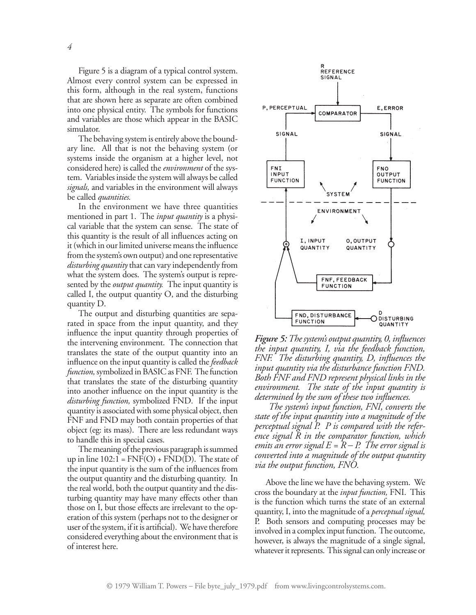Figure 5 is a diagram of a typical control system. Almost every control system can be expressed in this form, although in the real system, functions that are shown here as separate are often combined into one physical entity. The symbols for functions and variables are those which appear in the BASIC simulator.

The behaving system is entirely above the boundary line. All that is not the behaving system (or systems inside the organism at a higher level, not considered here) is called the *environment* of the system. Variables inside the system will always be called *signals,* and variables in the environment will always be called *quantities.*

In the environment we have three quantities mentioned in part 1. The *input quantity* is a physical variable that the system can sense. The state of this quantity is the result of all influences acting on it (which in our limited universe means the influence from the system's own output) and one representative *disturbing quantity*that can vary independently from what the system does. The system's output is represented by the *output quantity.* The input quantity is called I, the output quantity O, and the disturbing quantity D.

The output and disturbing quantities are separated in space from the input quantity, and they influence the input quantity through properties of the intervening environment. The connection that translates the state of the output quantity into an influence on the input quantity is called the *feedback function,*symbolized in BASIC as FNF. The function that translates the state of the disturbing quantity into another influence on the input quantity is the *disturbing function,* symbolized FND. If the input quantity is associated with some physical object, then FNF and FND may both contain properties of that object (eg: its mass). There are less redundant ways to handle this in special cases.

The meaning of the previous paragraph is summed up in line  $102:1 = FNF(O) + FND(D)$ . The state of the input quantity is the sum of the influences from the output quantity and the disturbing quantity. In the real world, both the output quantity and the disturbing quantity may have many effects other than those on I, but those effects are irrelevant to the operation of this system (perhaps not to the designer or user of the system, if it is artificial). We have therefore considered everything about the environment that is of interest here.



*Figure 5: Thesystem's output quantity, 0, influences the input quantity, I, via the feedback function, FNF. The disturbing quantity, D, influences the input quantity via the disturbance function FND. Both FNF and FND represent physical links in the environment. The state of the input quantity is determined by the sum of these two influences.*

 *The system's input function, FNI, converts the state of the input quantity into a magnitude of the perceptual signal P. P is compared with the reference signal R in the comparator function, which emits* an error signal  $E = \overline{R} - P$ . The error signal is *converted into a magnitude of the output quantity via the output function, FNO.*

Above the line we have the behaving system. We cross the boundary at the *input function,* FNI. This is the function which turns the state of an external quantity, I, into the magnitude of a *perceptual signal,* P. Both sensors and computing processes may be involved in a complex input function. The outcome, however, is always the magnitude of a single signal, whatever it represents. This signal can only increase or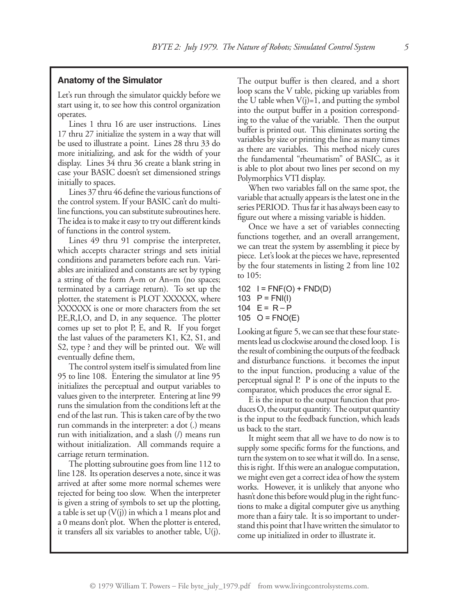#### **Anatomy of the Simulator**

Let's run through the simulator quickly before we start using it, to see how this control organization operates.

Lines 1 thru 16 are user instructions. Lines 17 thru 27 initialize the system in a way that will be used to illustrate a point. Lines 28 thru 33 do more initializing, and ask for the width of your display. Lines 34 thru 36 create a blank string in case your BASIC doesn't set dimensioned strings initially to spaces.

Lines 37 thru 46 define the various functions of the control system. If your BASIC can't do multiline functions, you can substitute subroutines here. The idea is to make it easy to try out different kinds of functions in the control system.

Lines 49 thru 91 comprise the interpreter, which accepts character strings and sets initial conditions and parameters before each run. Variables are initialized and constants are set by typing a string of the form A=m or An=m (no spaces; terminated by a carriage return). To set up the plotter, the statement is PLOT XXXXXX, where XXXXXX is one or more characters from the set P,E,R,I,O, and D, in any sequence. The plotter comes up set to plot P, E, and R. If you forget the last values of the parameters K1, K2, S1, and S2, type ? and they will be printed out. We will eventually define them,

The control system itself is simulated from line 95 to line 108. Entering the simulator at line 95 initializes the perceptual and output variables to values given to the interpreter. Entering at line 99 runs the simulation from the conditions left at the end of the last run. This is taken care of by the two run commands in the interpreter: a dot (.) means run with initialization, and a slash (/) means run without initialization. All commands require a carriage return termination.

The plotting subroutine goes from line 112 to line 128. Its operation deserves a note, since it was arrived at after some more normal schemes were rejected for being too slow. When the interpreter is given a string of symbols to set up the plotting, a table is set up  $(V(j))$  in which a 1 means plot and a 0 means don't plot. When the plotter is entered, it transfers all six variables to another table, U(j).

The output buffer is then cleared, and a short loop scans the V table, picking up variables from the U table when  $V(j)=1$ , and putting the symbol into the output buffer in a position corresponding to the value of the variable. Then the output buffer is printed out. This eliminates sorting the variables by size or printing the line as many times as there are variables. This method nicely cures the fundamental "rheumatism" of BASIC, as it is able to plot about two lines per second on my Polymorphics VTI display.

When two variables fall on the same spot, the variable that actually appears is the latest one in the series PERIOD. Thus far it has always been easy to figure out where a missing variable is hidden.

Once we have a set of variables connecting functions together, and an overall arrangement, we can treat the system by assembling it piece by piece. Let's look at the pieces we have, represented by the four statements in listing 2 from line 102 to 105:

102  $I = FNF(O) + FND(D)$ 103  $P = FNI(I)$ 

```
104 E = R - P
```

```
105 O = FNO(E)
```
Looking at figure 5, we can see that these four statements lead us clockwise around the closed loop. I is the result of combining the outputs of the feedback and disturbance functions. it becomes the input to the input function, producing a value of the perceptual signal P. P is one of the inputs to the comparator, which produces the error signal E.

E is the input to the output function that produces O, the output quantity. The output quantity is the input to the feedback function, which leads us back to the start.

It might seem that all we have to do now is to supply some specific forms for the functions, and turn the system on to see what it will do. In a sense, this is right. If this were an analogue computation, we might even get a correct idea of how the system works. However, it is unlikely that anyone who hasn't done this before would plug in the right functions to make a digital computer give us anything more than a fairy tale. It is so important to understand this point that l have written the simulator to come up initialized in order to illustrate it.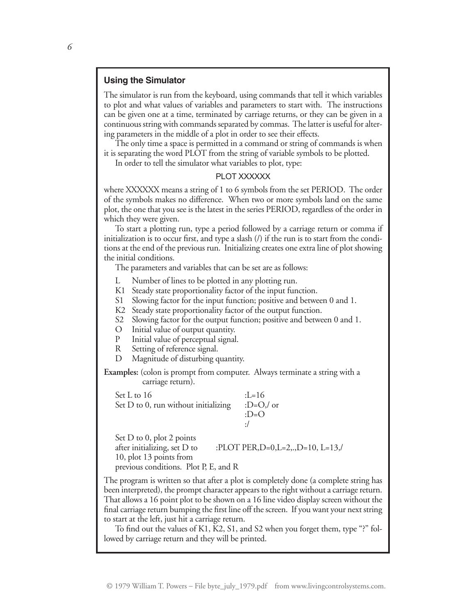#### **Using the Simulator**

The simulator is run from the keyboard, using commands that tell it which variables to plot and what values of variables and parameters to start with. The instructions can be given one at a time, terminated by carriage returns, or they can be given in a continuous string with commands separated by commas. The latter is useful for altering parameters in the middle of a plot in order to see their effects.

The only time a space is permitted in a command or string of commands is when it is separating the word PLOT from the string of variable symbols to be plotted.

In order to tell the simulator what variables to plot, type:

#### PLOT XXXXXX

where XXXXXX means a string of 1 to 6 symbols from the set PERIOD. The order of the symbols makes no difference. When two or more symbols land on the same plot, the one that you see is the latest in the series PERIOD, regardless of the order in which they were given.

To start a plotting run, type a period followed by a carriage return or comma if initialization is to occur first, and type a slash (/) if the run is to start from the conditions at the end of the previous run. Initializing creates one extra line of plot showing the initial conditions.

The parameters and variables that can be set are as follows:

- L Number of lines to be plotted in any plotting run.
- K1 Steady state proportionality factor of the input function.
- S1 Slowing factor for the input function; positive and between 0 and 1.
- K2 Steady state proportionality factor of the output function.
- S2 Slowing factor for the output function; positive and between 0 and 1.
- O Initial value of output quantity.
- P Initial value of perceptual signal.
- R Setting of reference signal.
- D Magnitude of disturbing quantity.

**Examples:** (colon is prompt from computer. Always terminate a string with a carriage return).

| Set L to 16                            | $I = 16$    |
|----------------------------------------|-------------|
| Set $D$ to 0, run without initializing | :D= $O/$ or |
|                                        | $\cdot$ D=O |
|                                        | $\cdot$ /   |
|                                        |             |

Set D to 0, plot 2 points after initializing, set D to :PLOT PER,D=0,L=2,.,D=10, L=13,/ 10, plot 13 points from previous conditions. Plot P, E, and R

The program is written so that after a plot is completely done (a complete string has been interpreted), the prompt character appears to the right without a carriage return. That allows a 16 point plot to be shown on a 16 line video display screen without the final carriage return bumping the first line off the screen. If you want your next string to start at the left, just hit a carriage return.

To find out the values of K1, K2, S1, and S2 when you forget them, type "?" followed by carriage return and they will be printed.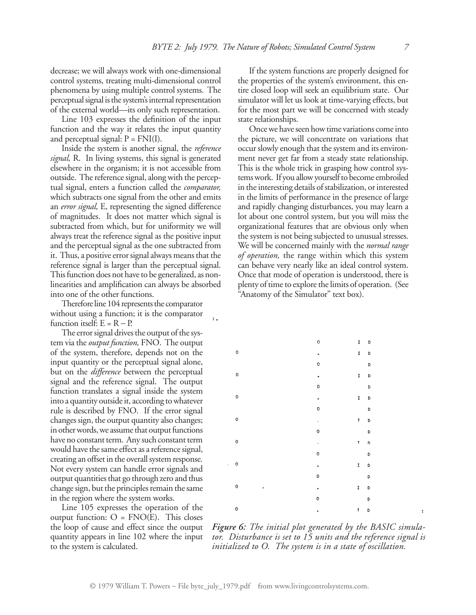decrease; we will always work with one-dimensional control systems, treating multi-dimensional control phenomena by using multiple control systems. The perceptual signal is the system's internal representation of the external world—its only such representation.

Line 103 expresses the definition of the input function and the way it relates the input quantity and perceptual signal:  $P = FNI(I)$ .

Inside the system is another signal, the *reference signal,* R. In living systems, this signal is generated elsewhere in the organism; it is not accessible from outside. The reference signal, along with the perceptual signal, enters a function called the *comparator,* which subtracts one signal from the other and emits an *error signal,* E, representing the signed difference of magnitudes. It does not matter which signal is subtracted from which, but for uniformity we will always treat the reference signal as the positive input and the perceptual signal as the one subtracted from it. Thus, a positive error signal always means that the reference signal is larger than the perceptual signal. This function does not have to be generalized, as nonlinearities and amplification can always be absorbed into one of the other functions.

Therefore line 104 represents the comparator without using a function; it is the comparator function itself:  $E = R - P$ .

The error signal drives the output of the system via the *output function,* FNO. The output of the system, therefore, depends not on the input quantity or the perceptual signal alone, but on the *difference* between the perceptual signal and the reference signal. The output function translates a signal inside the system into a quantity outside it, according to whatever rule is described by FNO. If the error signal changes sign, the output quantity also changes; in other words, we assume that output functions have no constant term. Any such constant term would have the same effect as a reference signal, creating an offset in the overall system response. Not every system can handle error signals and output quantities that go through zero and thus change sign, but the principles remain the same in the region where the system works.

Line 105 expresses the operation of the output function:  $O = FNO(E)$ . This closes the loop of cause and effect since the output quantity appears in line 102 where the input to the system is calculated.

If the system functions are properly designed for the properties of the system's environment, this entire closed loop will seek an equilibrium state. Our simulator will let us look at time-varying effects, but for the most part we will be concerned with steady state relationships.

Once we have seen how time variations come into the picture, we will concentrate on variations that occur slowly enough that the system and its environment never get far from a steady state relationship. This is the whole trick in grasping how control systems work. If you allow yourself to become embroiled in the interesting details of stabilization, or interested in the limits of performance in the presence of large and rapidly changing disturbances, you may learn a lot about one control system, but you will miss the organizational features that are obvious only when the system is not being subjected to unusual stresses. We will be concerned mainly with the *normal range of operation,* the range within which this system can behave very nearly like an ideal control system. Once that mode of operation is understood, there is plenty of time to explore the limits of operation. (See "Anatomy of the Simulator" text box).

|                          |                     |   | 0           | I       | D |
|--------------------------|---------------------|---|-------------|---------|---|
|                          | $\mathbf 0$         |   |             | 1       | D |
|                          |                     |   | o           |         | D |
|                          | $\mathbf 0$         |   | $\bullet$   | I       | D |
|                          |                     |   | $\mathbf 0$ |         | D |
|                          | $\mathsf{O}\xspace$ |   | $\bullet$   | I       | D |
|                          |                     |   | 0           |         | D |
|                          | $\mathbf 0$         |   | ٠           | T       | D |
|                          |                     |   | 0           |         | D |
|                          | $\mathsf{o}\xspace$ |   | ٠           | T       | D |
|                          |                     |   | 0           |         | D |
| $\overline{\phantom{a}}$ | $\mathbf 0$         |   | ٠           | I       | D |
|                          |                     |   | 0           |         | D |
|                          | 0                   | ٠ | $\bullet$   | I       | D |
|                          |                     |   | 0           |         | D |
|                          | $\mathbf 0$         |   |             | $T - D$ |   |

*Figure 6: The initial plot generated by the BASIC simulator. Disturbance is set to 15 units and the reference signal is initialized to O. The system is in a state of oscillation.*

 $\ddot{\cdot}$ .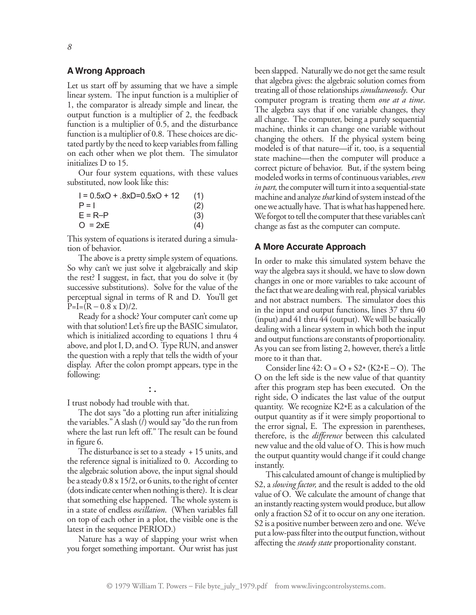#### **A Wrong Approach**

Let us start off by assuming that we have a simple linear system. The input function is a multiplier of 1, the comparator is already simple and linear, the output function is a multiplier of 2, the feedback function is a multiplier of 0.5, and the disturbance function is a multiplier of 0.8. These choices are dictated partly by the need to keep variables from falling on each other when we plot them. The simulator initializes D to 15.

Our four system equations, with these values substituted, now look like this:

| $1 = 0.5xO + .8xD = 0.5xO + 12$ | (1) |
|---------------------------------|-----|
| $P = I$                         | (2) |
| $E = R - P$                     | (3) |
| $O = 2xE$                       | (4) |

This system of equations is iterated during a simulation of behavior.

The above is a pretty simple system of equations. So why can't we just solve it algebraically and skip the rest? I suggest, in fact, that you do solve it (by successive substitutions). Solve for the value of the perceptual signal in terms of R and D. You'll get  $P=I=(R-0.8 \times D)/2.$ 

Ready for a shock? Your computer can't come up with that solution! Let's fire up the BASIC simulator, which is initialized according to equations 1 thru 4 above, and plot I, D, and O. Type RUN, and answer the question with a reply that tells the width of your display. After the colon prompt appears, type in the following:

**: .**

I trust nobody had trouble with that.

The dot says "do a plotting run after initializing the variables." A slash  $(\bar{l})$  would say "do the run from where the last run left off." The result can be found in figure 6.

The disturbance is set to a steady + 15 units, and the reference signal is initialized to 0. According to the algebraic solution above, the input signal should be a steady 0.8 x 15/2, or 6 units, to the right of center (dots indicate center when nothing is there). It is clear that something else happened. The whole system is in a state of endless *oscillation*. (When variables fall on top of each other in a plot, the visible one is the latest in the sequence PERIOD.)

Nature has a way of slapping your wrist when you forget something important. Our wrist has just been slapped. Naturally we do not get the same result that algebra gives: the algebraic solution comes from treating all of those relationships *simultaneously*. Our computer program is treating them *one at a time*. The algebra says that if one variable changes, they all change. The computer, being a purely sequential machine, thinks it can change one variable without changing the others. If the physical system being modeled is of that nature—if it, too, is a sequential state machine—then the computer will produce a correct picture of behavior. But, if the system being modeled works in terms of continuous variables, *even in part*, the computer will turn it into a sequential-state machine and analyze *that* kind of system instead of the one we actually have. That is what has happened here. We forgot to tell the computer that these variables can't change as fast as the computer can compute.

#### **A More Accurate Approach**

In order to make this simulated system behave the way the algebra says it should, we have to slow down changes in one or more variables to take account of the fact that we are dealing with real, physical variables and not abstract numbers. The simulator does this in the input and output functions, lines 37 thru 40 (input) and 41 thru 44 (output). We will be basically dealing with a linear system in which both the input and output functions are constants of proportionality. As you can see from listing 2, however, there's a little more to it than that.

Consider line  $42: O = O + S2 * (K2 * E - O)$ . The O on the left side is the new value of that quantity after this program step has been executed. On the right side, O indicates the last value of the output quantity. We recognize K2\*E as a calculation of the output quantity as if it were simply proportional to the error signal, E. The expression in parentheses, therefore, is the *difference* between this calculated new value and the old value of O. This is how much the output quantity would change if it could change instantly.

This calculated amount of change is multiplied by S2, a *slowing factor,* and the result is added to the old value of O. We calculate the amount of change that an instantly reacting system would produce, but allow only a fraction S2 of it to occur on any one iteration. S2 is a positive number between zero and one. We've put a low-pass filter into the output function, without affecting the *steady state* proportionality constant.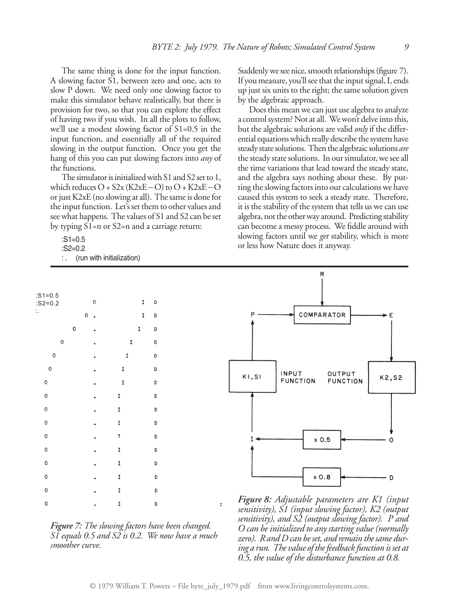The same thing is done for the input function. A slowing factor S1, between zero and one, acts to slow P down. We need only one slowing factor to make this simulator behave realistically, but there is provision for two, so that you can explore the effect of having two if you wish. In all the plots to follow, we'll use a modest slowing factor of S1=0.5 in the input function, and essentially all of the required slowing in the output function. Once you get the hang of this you can put slowing factors into *any* of the functions.

The simulator is initialized with S1 and S2 set to 1, which reduces  $O + S2x$  (K2xE – O) to  $O + K2xE - O$ or just K2xE (no slowing at all). The same is done for the input function. Let's set them to other values and see what happens. The values of S1 and S2 can be set by typing S1=n or S2=n and a carriage return:

> $\mathbf{I}$ b

 $\mathbf I$ D

D

D

D

D

D

 $\mathbf{D}$ 

 $\mathsf D$ 

D

D

 $\mathbf{r}$ 

 $\mathbf I$ 

 $\mathbf{I}$ 

 $\mathbf{I}$ 

 $\mathbf I$ 

 $\mathbf{I}$ 

 $\bar{I}$ 

 $\mathbf{I}$ 

 $\mathbf{r}$ 

 :S1=0.5 :S2=0.2

:S1=0.5 :S2=0.2 :.

: . (run with initialization)

 $\circ$ 

 $\Omega$ 

 $\circ$ 

 $\circ$ 

 $\circ$ 

 $\,0\,$ 

 $\circ$ 

 $\mathbf 0$ 

 $\circ$ 

 $\mathbf 0$ 

 $\mathbf c$ 

Suddenly we see nice, smooth relationships (figure 7). If you measure, you'll see that the input signal, I, ends up just six units to the right; the same solution given by the algebraic approach.

Does this mean we can just use algebra to analyze a control system? Not at all. We won't delve into this, but the algebraic solutions are valid *only* if the differential equations which really describe the system have steady state solutions. Then the algebraic solutions *are* the steady state solutions. In our simulator, we see all the time variations that lead toward the steady state, and the algebra says nothing about these. By putting the slowing factors into our calculations we have caused this system to seek a steady state. Therefore, it is the stability of the system that tells us we can use algebra, not the other way around. Predicting stability can become a messy process. We fiddle around with slowing factors until we *get* stability, which is more or less how Nature does it anyway.

|   |  | D                                                                                                                                    |
|---|--|--------------------------------------------------------------------------------------------------------------------------------------|
| O |  |                                                                                                                                      |
|   |  |                                                                                                                                      |
|   |  | <b>Figure</b> 7: The slowing factors have been changed.<br>$\overline{SI}$ equals 0.5 and $\overline{SZ}$ is 0.2. We now have a much |

*smoother curve.*

*zero). R andDcan beset, and remain thesame during a run. The value of thefeedback function is set at 0.5, the value of the disturbance function at 0.8.*



*sensitivity), S1 (input slowing factor), K2 (output sensitivity), and S2 (output slowing factor). P and O can be initialized to anystarting value (normally*

© 1979 William T. Powers – File byte\_july\_1979.pdf from www.livingcontrolsystems.com.

 $\ddot{\cdot}$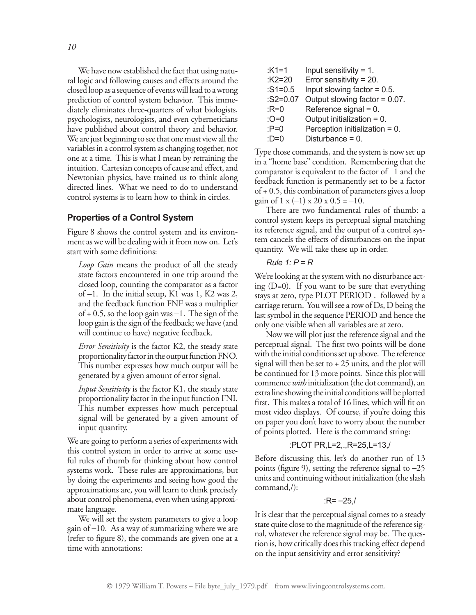We have now established the fact that using natural logic and following causes and effects around the closed loop as a sequence of events will lead to a wrong prediction of control system behavior. This immediately eliminates three-quarters of what biologists, psychologists, neurologists, and even cyberneticians have published about control theory and behavior. We are just beginning to see that one must view all the variables in a control system as changing together, not one at a time. This is what I mean by retraining the intuition. Cartesian concepts of cause and effect, and Newtonian physics, have trained us to think along directed lines. What we need to do to understand control systems is to learn how to think in circles.

#### **Properties of a Control System**

Figure 8 shows the control system and its environment as we will be dealing with it from now on. Let's start with some definitions:

*Loop Gain* means the product of all the steady state factors encountered in one trip around the closed loop, counting the comparator as a factor of –1. In the initial setup, K1 was 1, K2 was 2, and the feedback function FNF was a multiplier of  $+$  0.5, so the loop gain was  $-1$ . The sign of the loop gain is the sign of the feedback; we have (and will continue to have) negative feedback.

*Error Sensitivity* is the factor K2, the steady state proportionality factor in the output function FNO. This number expresses how much output will be generated by a given amount of error signal.

*Input Sensitivity* is the factor K1, the steady state proportionality factor in the input function FNI. This number expresses how much perceptual signal will be generated by a given amount of input quantity.

We are going to perform a series of experiments with this control system in order to arrive at some useful rules of thumb for thinking about how control systems work. These rules are approximations, but by doing the experiments and seeing how good the approximations are, you will learn to think precisely about control phenomena, even when using approximate language.

We will set the system parameters to give a loop gain of –10. As a way of summarizing where we are (refer to figure 8), the commands are given one at a time with annotations:

| $K1=1$     | Input sensitivity $= 1$ .      |
|------------|--------------------------------|
| : $K2=20$  | Error sensitivity = $20$ .     |
| $:S1=0.5$  | Input slowing factor $= 0.5$ . |
| $:S2=0.07$ | Output slowing factor = 0.07.  |
| : $R=0$    | Reference signal $= 0$ .       |
| $:O=0$     | Output initialization = 0.     |
| : $P=0$    | Perception initialization = 0. |
| :D=0       | Disturbance = $0$ .            |

Type those commands, and the system is now set up in a "home base" condition. Remembering that the comparator is equivalent to the factor of  $-1$  and the feedback function is permanently set to be a factor of + 0.5, this combination of parameters gives a loop gain of 1 x  $(-1)$  x 20 x 0.5 = -10.

There are two fundamental rules of thumb: a control system keeps its perceptual signal matching its reference signal, and the output of a control system cancels the effects of disturbances on the input quantity. We will take these up in order.

#### *Rule 1: P = R*

We're looking at the system with no disturbance acting (D=0). If you want to be sure that everything stays at zero, type PLOT PERIOD . followed by a carriage return. You will see a row of Ds, D being the last symbol in the sequence PERIOD and hence the only one visible when all variables are at zero.

Now we will plot just the reference signal and the perceptual signal. The first two points will be done with the initial conditions set up above. The reference signal will then be set to  $+25$  units, and the plot will be continued for 13 more points. Since this plot will commence *with* initialization (the dot command), an extra line showing the initial conditions will be plotted first. This makes a total of 16 lines, which will fit on most video displays. Of course, if you're doing this on paper you don't have to worry about the number of points plotted. Here is the command string:

#### :PLOT PR,L=2,.,R=25,L=13,/

Before discussing this, let's do another run of 13 points (figure 9), setting the reference signal to  $-25$ units and continuing without initialization (the slash command,/):

#### $:R = -25$ .

It is clear that the perceptual signal comes to a steady state quite close to the magnitude of the reference signal, whatever the reference signal may be. The question is, how critically does this tracking effect depend on the input sensitivity and error sensitivity?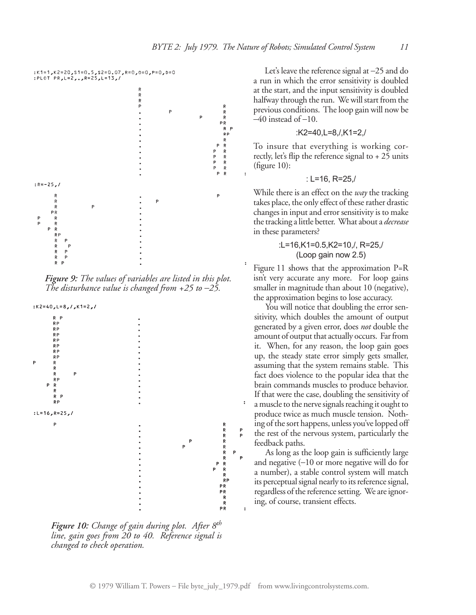

*Figure 9: The values of variables are listed in this plot. The disturbance value is changed from +25 to –25.*



*Figure 10: Change of gain during plot. After 8th line, gain goes from 20 to 40. Reference signal is changed to check operation.*

Let's leave the reference signal at –25 and do a run in which the error sensitivity is doubled at the start, and the input sensitivity is doubled halfway through the run. We will start from the previous conditions. The loop gain will now be  $-40$  instead of  $-10$ .

$$
:K2=40,L=8,/K1=2,/
$$

To insure that everything is working correctly, let's flip the reference signal to  $+25$  units (figure 10):

$$
: L=16, R=25,
$$

While there is an effect on the *way* the tracking takes place, the only effect of these rather drastic changes in input and error sensitivity is to make the tracking a little better. What about a *decrease* in these parameters?

#### :L=16,K1=0.5,K2=10,/, R=25,/ (Loop gain now 2.5)

Figure 11 shows that the approximation P=R isn't very accurate any more. For loop gains smaller in magnitude than about 10 (negative), the approximation begins to lose accuracy.

You will notice that doubling the error sensitivity, which doubles the amount of output generated by a given error, does *not* double the amount of output that actually occurs. Far from it. When, for any reason, the loop gain goes up, the steady state error simply gets smaller, assuming that the system remains stable. This fact does violence to the popular idea that the brain commands muscles to produce behavior. If that were the case, doubling the sensitivity of a muscle to the nerve signals reaching it ought to produce twice as much muscle tension. Nothing of the sort happens, unless you've lopped off the rest of the nervous system, particularly the feedback paths.

As long as the loop gain is sufficiently large and negative (–10 or more negative will do for a number), a stable control system will match its perceptual signal nearly to its reference signal, regardless of the reference setting. We are ignoring, of course, transient effects.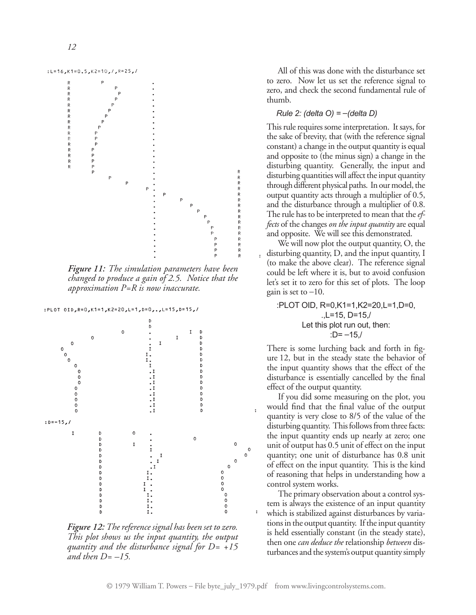

*Figure 11: The simulation parameters have been changed to produce a gain of 2.5. Notice that the approximation P=R is now inaccurate.*



*Figure 12: The reference signal has been set to zero. This plot shows us the input quantity, the output quantity and the disturbance signal for D= +15 and then D= –15.*

All of this was done with the disturbance set to zero. Now let us set the reference signal to zero, and check the second fundamental rule of thumb.

#### *Rule 2: (delta O) = –(delta D)*

This rule requires some interpretation. It says, for the sake of brevity, that (with the reference signal constant) a change in the output quantity is equal and opposite to (the minus sign) a change in the disturbing quantity. Generally, the input and disturbing quantities will affect the input quantity through different physical paths. In our model, the output quantity acts through a multiplier of 0.5, and the disturbance through a multiplier of 0.8. The rule has to be interpreted to mean that the *effects* of the changes *on the input quantity* are equal and opposite. We will see this demonstrated.

We will now plot the output quantity, O, the disturbing quantity, D, and the input quantity, I (to make the above clear). The reference signal could be left where it is, but to avoid confusion let's set it to zero for this set of plots. The loop gain is set to  $-10$ .

:PLOT OID, R=0,K1=1,K2=20,L=1,D=0, .,L=15, D=15,/ Let this plot run out, then:  $:D=-15$ 

There is some lurching back and forth in figure 12, but in the steady state the behavior of the input quantity shows that the effect of the disturbance is essentially cancelled by the final effect of the output quantity.

If you did some measuring on the plot, you would find that the final value of the output quantity is very close to 8/5 of the value of the disturbing quantity. This follows from three facts: the input quantity ends up nearly at zero; one unit of output has 0.5 unit of effect on the input quantity; one unit of disturbance has 0.8 unit of effect on the input quantity. This is the kind of reasoning that helps in understanding how a control system works.

The primary observation about a control system is always the existence of an input quantity which is stabilized against disturbances by variations in the output quantity. If the input quantity is held essentially constant (in the steady state), then one *can deduce the* relationship *between* disturbances and the system's output quantity simply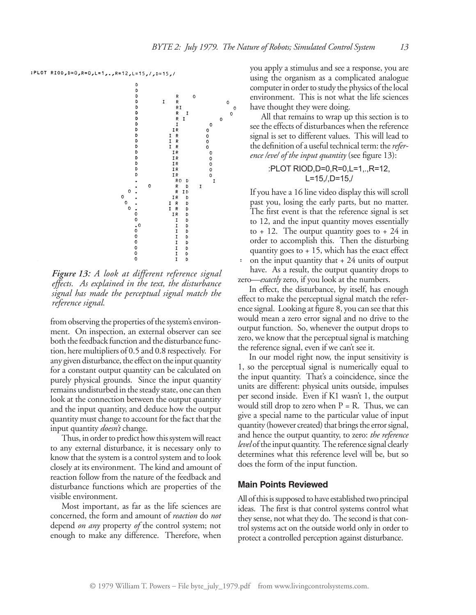#### :PLOT RIOD, D=0, R=0, L=1,., R=12, L=15, /, D=15, /

b  $\begin{array}{c} \begin{array}{c} \text{R} \\ \text{R} \\ \text{R} \\ \text{R} \\ \text{R} \\ \text{R} \\ \text{R} \\ \text{I} \\ \text{I} \\ \text{I} \\ \text{I} \\ \text{I} \\ \text{I} \end{array} \end{array}$  $\mathbf 0$ D<br>D<br>D  $\mathbf I$  $\mathsf{o}$  $\circ$ b  $\circ$ D  $\mathsf{o}$ b  $\circ$ b  $\begin{smallmatrix}0\0\0\end{smallmatrix}$ 1 R<br>1 R<br>1 R<br>1 R Þ D<br>D  $\mathsf{o}$ b  $\circ$ <br> $\circ$  $IR$ IR<br>IR<br>IR<br>IR D D D  $\circ$  $\mathbf{I}$  $\circ$  $\mathbf I$  $\circ$  $\mathsf{o}$  $\mathbf 0$  $\circ$  $\frac{1}{\alpha}$  $\begin{array}{c}\n\circ \\
\circ \\
\circ\n\end{array}$  $_{\rm o}^{\rm o}$ 

*Figure 13: A look at different reference signal effects. As explained in the text, the disturbance signal has made the perceptual signal match the reference signal.*

from observing the properties of the system's environment. On inspection, an external observer can see both the feedback function and the disturbance function, here multipliers of 0.5 and 0.8 respectively. For any given disturbance, the effect on the input quantity for a constant output quantity can be calculated on purely physical grounds. Since the input quantity remains undisturbed in the steady state, one can then look at the connection between the output quantity and the input quantity, and deduce how the output quantity must change to account for the fact that the input quantity *doesn't* change.

Thus, in order to predict how this system will react to any external disturbance, it is necessary only to know that the system is a control system and to look closely at its environment. The kind and amount of reaction follow from the nature of the feedback and disturbance functions which are properties of the visible environment.

Most important, as far as the life sciences are concerned, the form and amount of *reaction* do *not* depend *on any* property *of* the control system; not enough to make any difference. Therefore, when you apply a stimulus and see a response, you are using the organism as a complicated analogue computer in order to study the physics of the local environment. This is not what the life sciences have thought they were doing.

All that remains to wrap up this section is to see the effects of disturbances when the reference signal is set to different values. This will lead to the definition of a useful technical term: the *reference /eve/ of the input quantity* (see figure 13):

#### :PLOT RIOD,D=0,R=0,L=1,.,R=12, L=15,/,D=15,/

If you have a 16 line video display this will scroll past you, losing the early parts, but no matter. The first event is that the reference signal is set to 12, and the input quantity moves essentially to  $+ 12$ . The output quantity goes to  $+ 24$  in order to accomplish this. Then the disturbing quantity goes to  $+15$ , which has the exact effect on the input quantity that  $+ 24$  units of output have. As a result, the output quantity drops to zero—*exactly* zero, if you look at the numbers.

In effect, the disturbance, by itself, has enough effect to make the perceptual signal match the reference signal. Looking at figure 8, you can see that this would mean a zero error signal and no drive to the output function. So, whenever the output drops to zero, we know that the perceptual signal is matching the reference signal, even if we can't see it.

In our model right now, the input sensitivity is 1, so the perceptual signal is numerically equal to the input quantity. That's a coincidence, since the units are different: physical units outside, impulses per second inside. Even if K1 wasn't 1, the output would still drop to zero when  $P = R$ . Thus, we can give a special name to the particular value of input quantity (however created) that brings the error signal, and hence the output quantity, to zero: *the reference level* of the input quantity. The reference signal clearly determines what this reference level will be, but so does the form of the input function.

#### **Main Points Reviewed**

All of this is supposed to have established two principal ideas. The first is that control systems control what they sense, not what they do. The second is that control systems act on the outside world only in order to protect a controlled perception against disturbance.